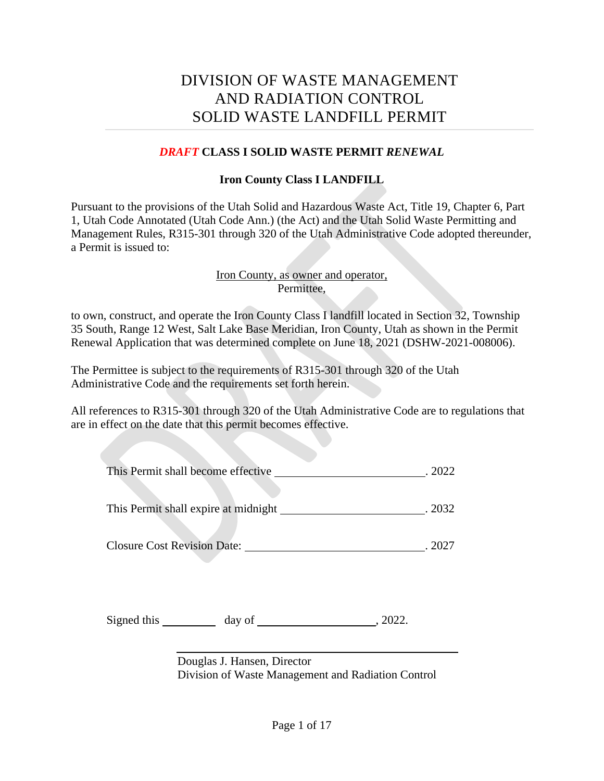# DIVISION OF WASTE MANAGEMENT AND RADIATION CONTROL SOLID WASTE LANDFILL PERMIT

#### *DRAFT* **CLASS I SOLID WASTE PERMIT** *RENEWAL*

#### **Iron County Class I LANDFILL**

Pursuant to the provisions of the Utah Solid and Hazardous Waste Act, Title 19, Chapter 6, Part 1, Utah Code Annotated (Utah Code Ann.) (the Act) and the Utah Solid Waste Permitting and Management Rules, R315-301 through 320 of the Utah Administrative Code adopted thereunder, a Permit is issued to:

#### Iron County, as owner and operator, Permittee,

to own, construct, and operate the Iron County Class I landfill located in Section 32, Township 35 South, Range 12 West, Salt Lake Base Meridian, Iron County, Utah as shown in the Permit Renewal Application that was determined complete on June 18, 2021 (DSHW-2021-008006).

The Permittee is subject to the requirements of R315-301 through 320 of the Utah Administrative Code and the requirements set forth herein.

All references to R315-301 through 320 of the Utah Administrative Code are to regulations that are in effect on the date that this permit becomes effective.

| This Permit shall become effective |  | . 2022 |
|------------------------------------|--|--------|
|                                    |  |        |

This Permit shall expire at midnight . 2032

Closure Cost Revision Date: . 2027

Signed this day of , 2022.

Douglas J. Hansen, Director Division of Waste Management and Radiation Control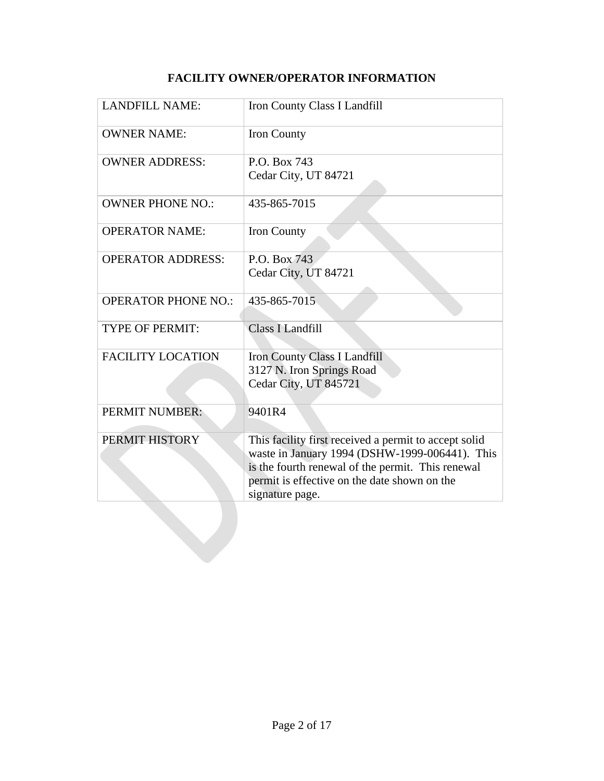## **FACILITY OWNER/OPERATOR INFORMATION**

| <b>LANDFILL NAME:</b>      | Iron County Class I Landfill                                                                                                                                                                                                    |
|----------------------------|---------------------------------------------------------------------------------------------------------------------------------------------------------------------------------------------------------------------------------|
| <b>OWNER NAME:</b>         | Iron County                                                                                                                                                                                                                     |
| <b>OWNER ADDRESS:</b>      | P.O. Box 743<br>Cedar City, UT 84721                                                                                                                                                                                            |
| <b>OWNER PHONE NO.:</b>    | 435-865-7015                                                                                                                                                                                                                    |
| <b>OPERATOR NAME:</b>      | Iron County                                                                                                                                                                                                                     |
| <b>OPERATOR ADDRESS:</b>   | P.O. Box 743<br>Cedar City, UT 84721                                                                                                                                                                                            |
| <b>OPERATOR PHONE NO.:</b> | 435-865-7015                                                                                                                                                                                                                    |
| <b>TYPE OF PERMIT:</b>     | <b>Class I Landfill</b>                                                                                                                                                                                                         |
| <b>FACILITY LOCATION</b>   | <b>Iron County Class I Landfill</b><br>3127 N. Iron Springs Road<br>Cedar City, UT 845721                                                                                                                                       |
| <b>PERMIT NUMBER:</b>      | 9401R4                                                                                                                                                                                                                          |
| PERMIT HISTORY             | This facility first received a permit to accept solid<br>waste in January 1994 (DSHW-1999-006441). This<br>is the fourth renewal of the permit. This renewal<br>permit is effective on the date shown on the<br>signature page. |
|                            |                                                                                                                                                                                                                                 |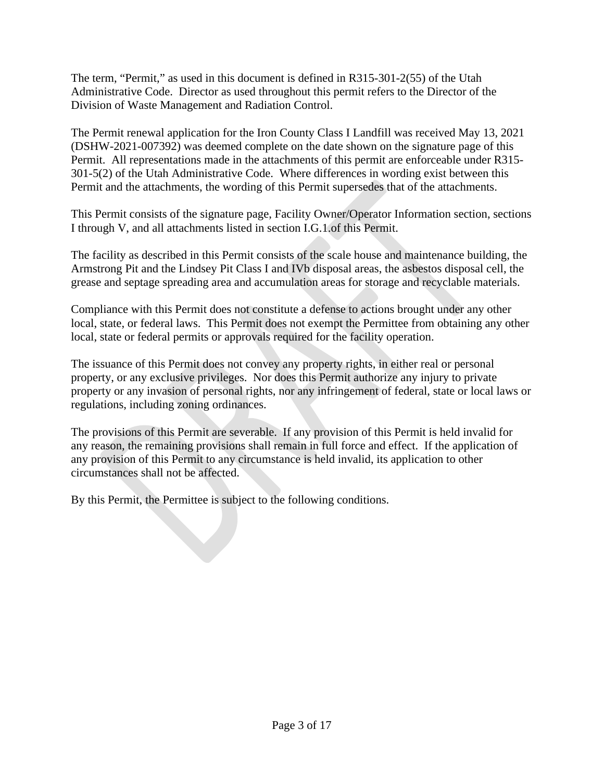The term, "Permit," as used in this document is defined in R315-301-2(55) of the Utah Administrative Code. Director as used throughout this permit refers to the Director of the Division of Waste Management and Radiation Control.

The Permit renewal application for the Iron County Class I Landfill was received May 13, 2021 (DSHW-2021-007392) was deemed complete on the date shown on the signature page of this Permit. All representations made in the attachments of this permit are enforceable under R315- 301-5(2) of the Utah Administrative Code. Where differences in wording exist between this Permit and the attachments, the wording of this Permit supersedes that of the attachments.

This Permit consists of the signature page, Facility Owner/Operator Information section, sections I through V, and all attachments listed in section I.G.1.of this Permit.

The facility as described in this Permit consists of the scale house and maintenance building, the Armstrong Pit and the Lindsey Pit Class I and IVb disposal areas, the asbestos disposal cell, the grease and septage spreading area and accumulation areas for storage and recyclable materials.

Compliance with this Permit does not constitute a defense to actions brought under any other local, state, or federal laws. This Permit does not exempt the Permittee from obtaining any other local, state or federal permits or approvals required for the facility operation.

The issuance of this Permit does not convey any property rights, in either real or personal property, or any exclusive privileges. Nor does this Permit authorize any injury to private property or any invasion of personal rights, nor any infringement of federal, state or local laws or regulations, including zoning ordinances.

The provisions of this Permit are severable. If any provision of this Permit is held invalid for any reason, the remaining provisions shall remain in full force and effect. If the application of any provision of this Permit to any circumstance is held invalid, its application to other circumstances shall not be affected.

By this Permit, the Permittee is subject to the following conditions.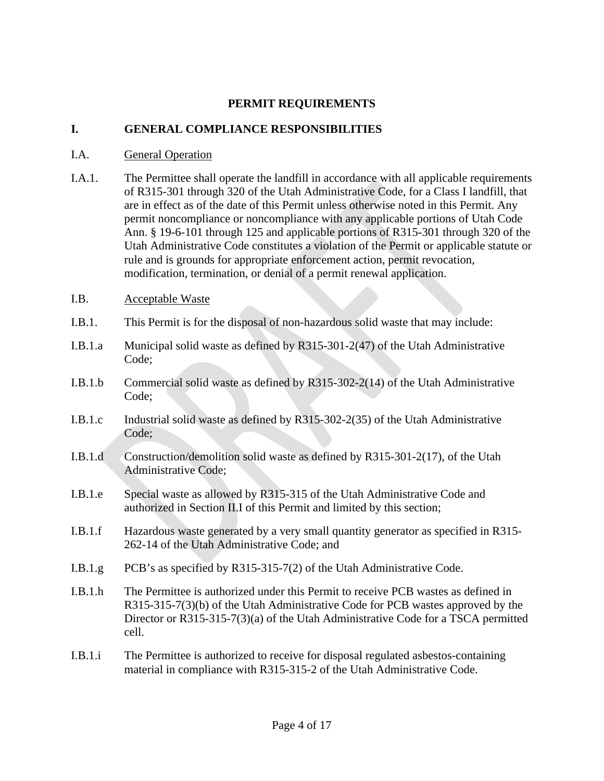#### **PERMIT REQUIREMENTS**

#### **I. GENERAL COMPLIANCE RESPONSIBILITIES**

#### I.A. General Operation

- I.A.1. The Permittee shall operate the landfill in accordance with all applicable requirements of R315-301 through 320 of the Utah Administrative Code, for a Class I landfill, that are in effect as of the date of this Permit unless otherwise noted in this Permit. Any permit noncompliance or noncompliance with any applicable portions of Utah Code Ann. § 19-6-101 through 125 and applicable portions of R315-301 through 320 of the Utah Administrative Code constitutes a violation of the Permit or applicable statute or rule and is grounds for appropriate enforcement action, permit revocation, modification, termination, or denial of a permit renewal application.
- <span id="page-3-1"></span>I.B. Acceptable Waste
- I.B.1. This Permit is for the disposal of non-hazardous solid waste that may include:
- I.B.1.a Municipal solid waste as defined by R315-301-2(47) of the Utah Administrative Code;
- I.B.1.b Commercial solid waste as defined by R315-302-2(14) of the Utah Administrative Code;
- I.B.1.c Industrial solid waste as defined by R315-302-2(35) of the Utah Administrative Code;
- I.B.1.d Construction/demolition solid waste as defined by R315-301-2(17), of the Utah Administrative Code;
- I.B.1.e Special waste as allowed by R315-315 of the Utah Administrative Code and authorized in Section [II.I](#page-8-0) of this Permit and limited by this section;
- <span id="page-3-0"></span>I.B.1.f Hazardous waste generated by a very small quantity generator as specified in R315- 262-14 of the Utah Administrative Code; and
- I.B.1.g PCB's as specified by R315-315-7(2) of the Utah Administrative Code.
- I.B.1.h The Permittee is authorized under this Permit to receive PCB wastes as defined in R315-315-7(3)(b) of the Utah Administrative Code for PCB wastes approved by the Director or R315-315-7(3)(a) of the Utah Administrative Code for a TSCA permitted cell.
- I.B.1.i The Permittee is authorized to receive for disposal regulated asbestos-containing material in compliance with R315-315-2 of the Utah Administrative Code.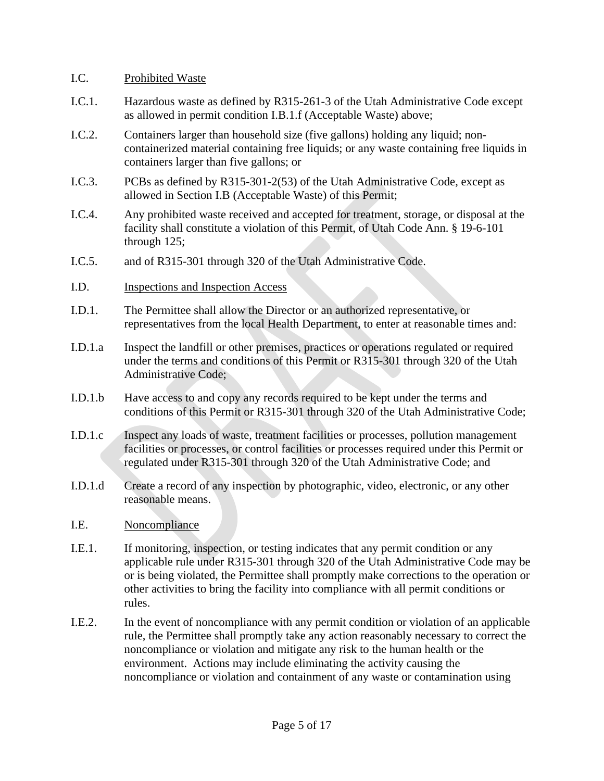#### <span id="page-4-0"></span>I.C. Prohibited Waste

- I.C.1. Hazardous waste as defined by R315-261-3 of the Utah Administrative Code except as allowed in permit condition [I.B.1.f](#page-3-0) (Acceptable Waste) above;
- I.C.2. Containers larger than household size (five gallons) holding any liquid; noncontainerized material containing free liquids; or any waste containing free liquids in containers larger than five gallons; or
- I.C.3. PCBs as defined by R315-301-2(53) of the Utah Administrative Code, except as allowed in Section [I.B](#page-3-1) (Acceptable Waste) of this Permit;
- I.C.4. Any prohibited waste received and accepted for treatment, storage, or disposal at the facility shall constitute a violation of this Permit, of Utah Code Ann. § 19-6-101 through 125;
- I.C.5. and of R315-301 through 320 of the Utah Administrative Code.
- I.D. Inspections and Inspection Access
- I.D.1. The Permittee shall allow the Director or an authorized representative, or representatives from the local Health Department, to enter at reasonable times and:
- I.D.1.a Inspect the landfill or other premises, practices or operations regulated or required under the terms and conditions of this Permit or R315-301 through 320 of the Utah Administrative Code;
- I.D.1.b Have access to and copy any records required to be kept under the terms and conditions of this Permit or R315-301 through 320 of the Utah Administrative Code;
- I.D.1.c Inspect any loads of waste, treatment facilities or processes, pollution management facilities or processes, or control facilities or processes required under this Permit or regulated under R315-301 through 320 of the Utah Administrative Code; and
- I.D.1.d Create a record of any inspection by photographic, video, electronic, or any other reasonable means.

## I.E. Noncompliance

- I.E.1. If monitoring, inspection, or testing indicates that any permit condition or any applicable rule under R315-301 through 320 of the Utah Administrative Code may be or is being violated, the Permittee shall promptly make corrections to the operation or other activities to bring the facility into compliance with all permit conditions or rules.
- I.E.2. In the event of noncompliance with any permit condition or violation of an applicable rule, the Permittee shall promptly take any action reasonably necessary to correct the noncompliance or violation and mitigate any risk to the human health or the environment. Actions may include eliminating the activity causing the noncompliance or violation and containment of any waste or contamination using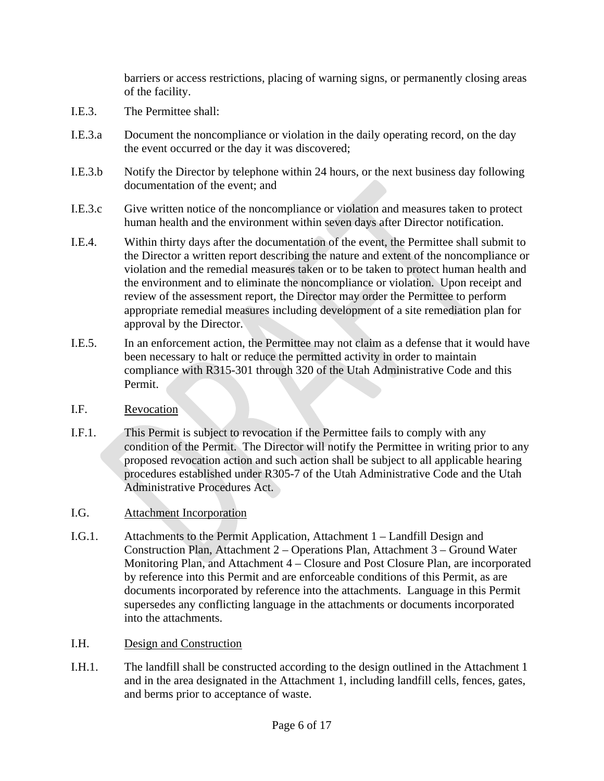barriers or access restrictions, placing of warning signs, or permanently closing areas of the facility.

- I.E.3. The Permittee shall:
- I.E.3.a Document the noncompliance or violation in the daily operating record, on the day the event occurred or the day it was discovered;
- I.E.3.b Notify the Director by telephone within 24 hours, or the next business day following documentation of the event; and
- I.E.3.c Give written notice of the noncompliance or violation and measures taken to protect human health and the environment within seven days after Director notification.
- I.E.4. Within thirty days after the documentation of the event, the Permittee shall submit to the Director a written report describing the nature and extent of the noncompliance or violation and the remedial measures taken or to be taken to protect human health and the environment and to eliminate the noncompliance or violation. Upon receipt and review of the assessment report, the Director may order the Permittee to perform appropriate remedial measures including development of a site remediation plan for approval by the Director.
- I.E.5. In an enforcement action, the Permittee may not claim as a defense that it would have been necessary to halt or reduce the permitted activity in order to maintain compliance with R315-301 through 320 of the Utah Administrative Code and this Permit.
- I.F. Revocation
- I.F.1. This Permit is subject to revocation if the Permittee fails to comply with any condition of the Permit. The Director will notify the Permittee in writing prior to any proposed revocation action and such action shall be subject to all applicable hearing procedures established under R305-7 of the Utah Administrative Code and the Utah Administrative Procedures Act.
- I.G. Attachment Incorporation
- I.G.1. Attachments to the Permit Application, Attachment 1 Landfill Design and Construction Plan, Attachment 2 – Operations Plan, Attachment 3 – Ground Water Monitoring Plan, and Attachment 4 – Closure and Post Closure Plan, are incorporated by reference into this Permit and are enforceable conditions of this Permit, as are documents incorporated by reference into the attachments. Language in this Permit supersedes any conflicting language in the attachments or documents incorporated into the attachments.
- I.H. Design and Construction
- I.H.1. The landfill shall be constructed according to the design outlined in the Attachment 1 and in the area designated in the Attachment 1, including landfill cells, fences, gates, and berms prior to acceptance of waste.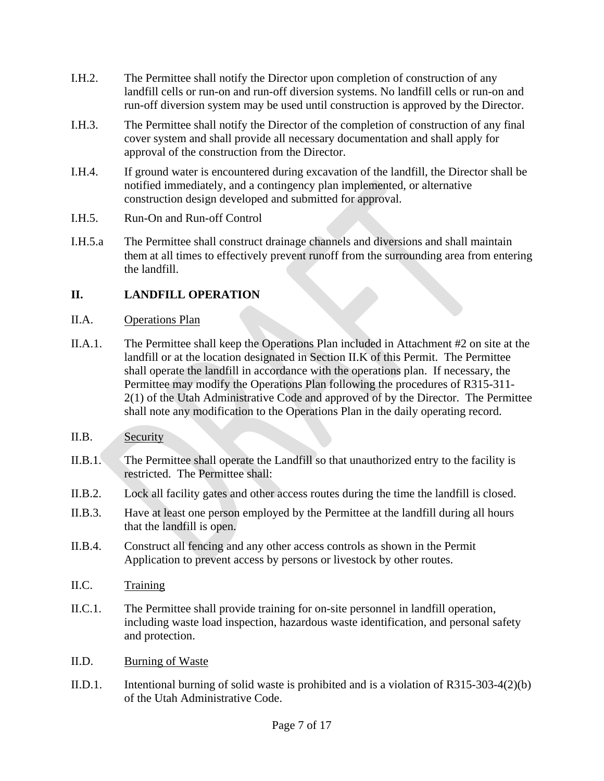- I.H.2. The Permittee shall notify the Director upon completion of construction of any landfill cells or run-on and run-off diversion systems. No landfill cells or run-on and run-off diversion system may be used until construction is approved by the Director.
- I.H.3. The Permittee shall notify the Director of the completion of construction of any final cover system and shall provide all necessary documentation and shall apply for approval of the construction from the Director.
- I.H.4. If ground water is encountered during excavation of the landfill, the Director shall be notified immediately, and a contingency plan implemented, or alternative construction design developed and submitted for approval.
- I.H.5. Run-On and Run-off Control
- I.H.5.a The Permittee shall construct drainage channels and diversions and shall maintain them at all times to effectively prevent runoff from the surrounding area from entering the landfill.

## **II. LANDFILL OPERATION**

- II.A. Operations Plan
- II.A.1. The Permittee shall keep the Operations Plan included in Attachment #2 on site at the landfill or at the location designated in Section [II.K](#page-9-0) of this Permit. The Permittee shall operate the landfill in accordance with the operations plan. If necessary, the Permittee may modify the Operations Plan following the procedures of R315-311- 2(1) of the Utah Administrative Code and approved of by the Director. The Permittee shall note any modification to the Operations Plan in the daily operating record.
- II.B. Security
- II.B.1. The Permittee shall operate the Landfill so that unauthorized entry to the facility is restricted. The Permittee shall:
- II.B.2. Lock all facility gates and other access routes during the time the landfill is closed.
- II.B.3. Have at least one person employed by the Permittee at the landfill during all hours that the landfill is open.
- II.B.4. Construct all fencing and any other access controls as shown in the Permit Application to prevent access by persons or livestock by other routes.
- II.C. Training
- II.C.1. The Permittee shall provide training for on-site personnel in landfill operation, including waste load inspection, hazardous waste identification, and personal safety and protection.
- II.D. Burning of Waste
- II.D.1. Intentional burning of solid waste is prohibited and is a violation of R315-303-4(2)(b) of the Utah Administrative Code.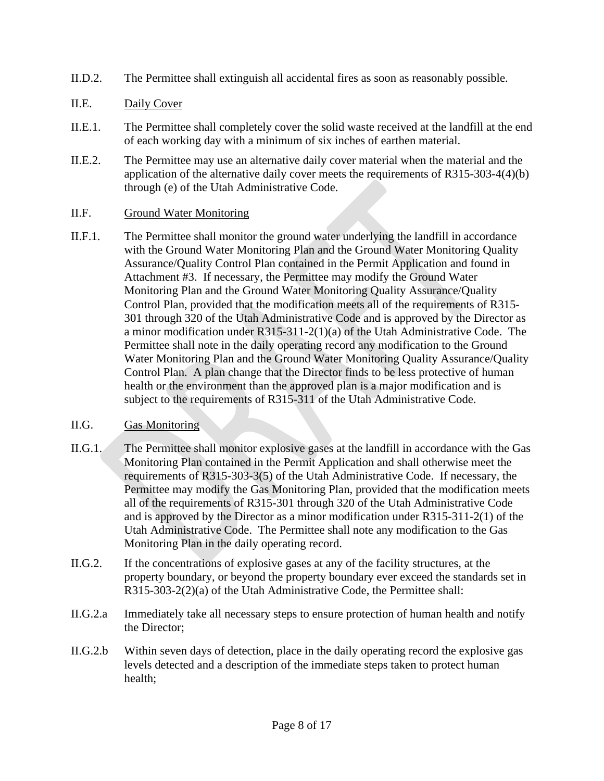- II.D.2. The Permittee shall extinguish all accidental fires as soon as reasonably possible.
- II.E. Daily Cover
- II.E.1. The Permittee shall completely cover the solid waste received at the landfill at the end of each working day with a minimum of six inches of earthen material.
- II.E.2. The Permittee may use an alternative daily cover material when the material and the application of the alternative daily cover meets the requirements of R315-303-4(4)(b) through (e) of the Utah Administrative Code.

#### II.F. Ground Water Monitoring

II.F.1. The Permittee shall monitor the ground water underlying the landfill in accordance with the Ground Water Monitoring Plan and the Ground Water Monitoring Quality Assurance/Quality Control Plan contained in the Permit Application and found in Attachment #3. If necessary, the Permittee may modify the Ground Water Monitoring Plan and the Ground Water Monitoring Quality Assurance/Quality Control Plan, provided that the modification meets all of the requirements of R315- 301 through 320 of the Utah Administrative Code and is approved by the Director as a minor modification under R315-311-2(1)(a) of the Utah Administrative Code. The Permittee shall note in the daily operating record any modification to the Ground Water Monitoring Plan and the Ground Water Monitoring Quality Assurance/Quality Control Plan. A plan change that the Director finds to be less protective of human health or the environment than the approved plan is a major modification and is subject to the requirements of R315-311 of the Utah Administrative Code.

#### II.G. Gas Monitoring

- II.G.1. The Permittee shall monitor explosive gases at the landfill in accordance with the Gas Monitoring Plan contained in the Permit Application and shall otherwise meet the requirements of R315-303-3(5) of the Utah Administrative Code. If necessary, the Permittee may modify the Gas Monitoring Plan, provided that the modification meets all of the requirements of R315-301 through 320 of the Utah Administrative Code and is approved by the Director as a minor modification under R315-311-2(1) of the Utah Administrative Code. The Permittee shall note any modification to the Gas Monitoring Plan in the daily operating record.
- II.G.2. If the concentrations of explosive gases at any of the facility structures, at the property boundary, or beyond the property boundary ever exceed the standards set in R315-303-2(2)(a) of the Utah Administrative Code, the Permittee shall:
- II.G.2.a Immediately take all necessary steps to ensure protection of human health and notify the Director;
- II.G.2.b Within seven days of detection, place in the daily operating record the explosive gas levels detected and a description of the immediate steps taken to protect human health;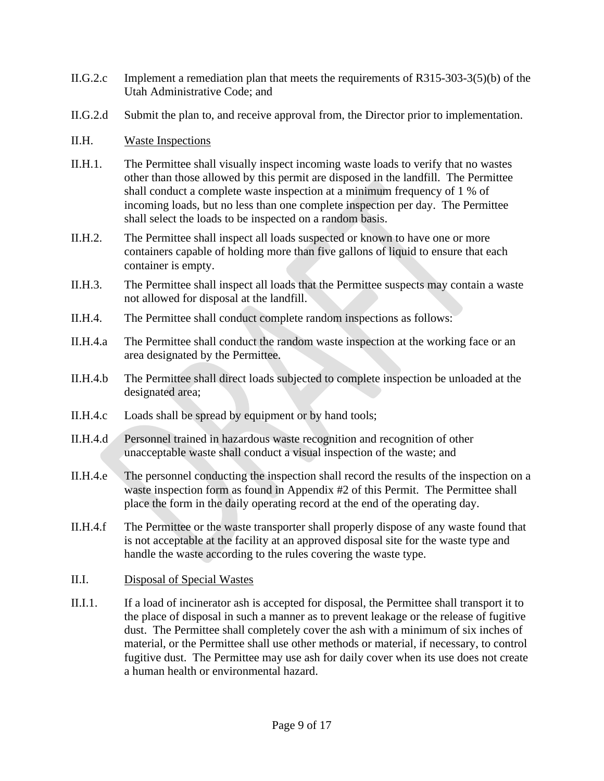- II.G.2.c Implement a remediation plan that meets the requirements of R315-303-3(5)(b) of the Utah Administrative Code; and
- II.G.2.d Submit the plan to, and receive approval from, the Director prior to implementation.

#### II.H. Waste Inspections

- II.H.1. The Permittee shall visually inspect incoming waste loads to verify that no wastes other than those allowed by this permit are disposed in the landfill. The Permittee shall conduct a complete waste inspection at a minimum frequency of 1 % of incoming loads, but no less than one complete inspection per day. The Permittee shall select the loads to be inspected on a random basis.
- II.H.2. The Permittee shall inspect all loads suspected or known to have one or more containers capable of holding more than five gallons of liquid to ensure that each container is empty.
- II.H.3. The Permittee shall inspect all loads that the Permittee suspects may contain a waste not allowed for disposal at the landfill.
- II.H.4. The Permittee shall conduct complete random inspections as follows:
- II.H.4.a The Permittee shall conduct the random waste inspection at the working face or an area designated by the Permittee.
- II.H.4.b The Permittee shall direct loads subjected to complete inspection be unloaded at the designated area;
- II.H.4.c Loads shall be spread by equipment or by hand tools;
- II.H.4.d Personnel trained in hazardous waste recognition and recognition of other unacceptable waste shall conduct a visual inspection of the waste; and
- II.H.4.e The personnel conducting the inspection shall record the results of the inspection on a waste inspection form as found in Appendix #2 of this Permit. The Permittee shall place the form in the daily operating record at the end of the operating day.
- II.H.4.f The Permittee or the waste transporter shall properly dispose of any waste found that is not acceptable at the facility at an approved disposal site for the waste type and handle the waste according to the rules covering the waste type.

#### <span id="page-8-0"></span>II.I. Disposal of Special Wastes

II.I.1. If a load of incinerator ash is accepted for disposal, the Permittee shall transport it to the place of disposal in such a manner as to prevent leakage or the release of fugitive dust. The Permittee shall completely cover the ash with a minimum of six inches of material, or the Permittee shall use other methods or material, if necessary, to control fugitive dust. The Permittee may use ash for daily cover when its use does not create a human health or environmental hazard.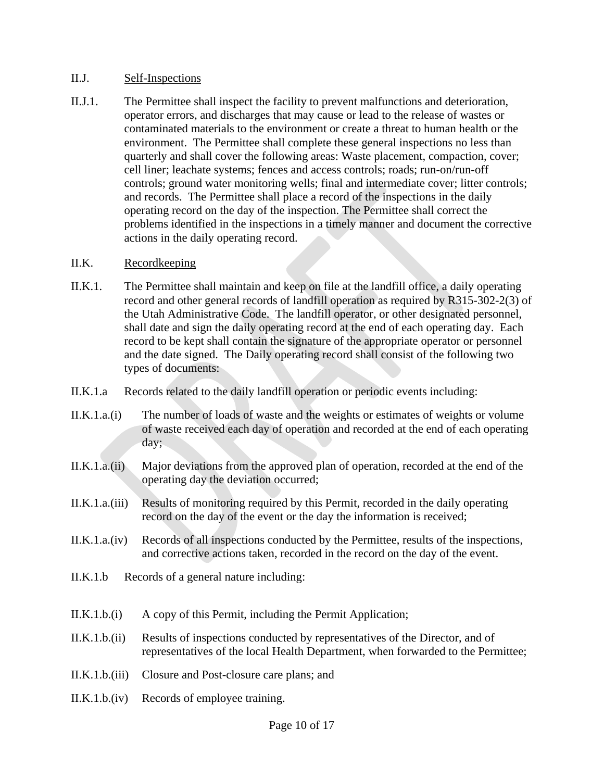#### II.J. Self-Inspections

II.J.1. The Permittee shall inspect the facility to prevent malfunctions and deterioration, operator errors, and discharges that may cause or lead to the release of wastes or contaminated materials to the environment or create a threat to human health or the environment. The Permittee shall complete these general inspections no less than quarterly and shall cover the following areas: Waste placement, compaction, cover; cell liner; leachate systems; fences and access controls; roads; run-on/run-off controls; ground water monitoring wells; final and intermediate cover; litter controls; and records. The Permittee shall place a record of the inspections in the daily operating record on the day of the inspection. The Permittee shall correct the problems identified in the inspections in a timely manner and document the corrective actions in the daily operating record.

#### <span id="page-9-0"></span>II.K. Recordkeeping

- II.K.1. The Permittee shall maintain and keep on file at the landfill office, a daily operating record and other general records of landfill operation as required by R315-302-2(3) of the Utah Administrative Code. The landfill operator, or other designated personnel, shall date and sign the daily operating record at the end of each operating day. Each record to be kept shall contain the signature of the appropriate operator or personnel and the date signed. The Daily operating record shall consist of the following two types of documents:
- II.K.1.a Records related to the daily landfill operation or periodic events including:
- II.K.1.a.(i) The number of loads of waste and the weights or estimates of weights or volume of waste received each day of operation and recorded at the end of each operating day;
- II.K.1.a.(ii) Major deviations from the approved plan of operation, recorded at the end of the operating day the deviation occurred;
- II.K.1.a.(iii) Results of monitoring required by this Permit, recorded in the daily operating record on the day of the event or the day the information is received;
- II.K.1.a.(iv) Records of all inspections conducted by the Permittee, results of the inspections, and corrective actions taken, recorded in the record on the day of the event.
- II.K.1.b Records of a general nature including:
- II.K.1.b.(i) A copy of this Permit, including the Permit Application;
- II.K.1.b.(ii) Results of inspections conducted by representatives of the Director, and of representatives of the local Health Department, when forwarded to the Permittee;
- II.K.1.b.(iii) Closure and Post-closure care plans; and
- II.K.1.b.(iv) Records of employee training.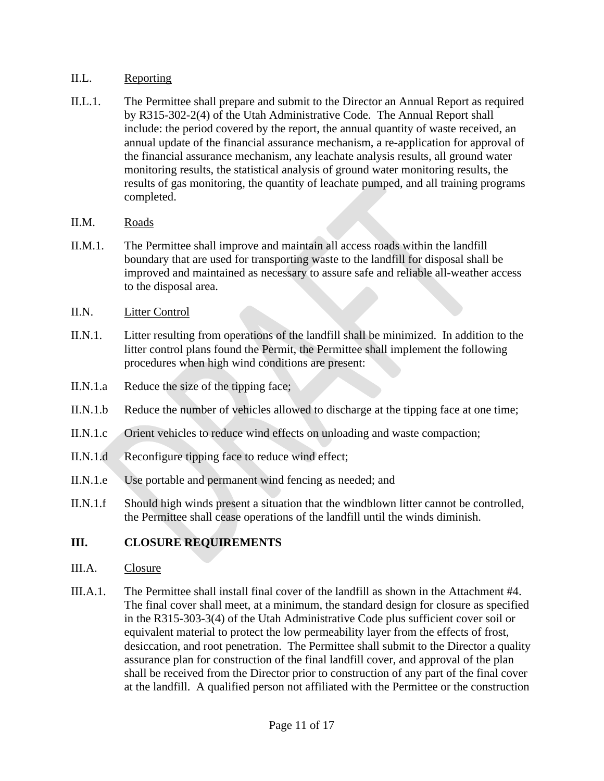#### II.L. Reporting

- II.L.1. The Permittee shall prepare and submit to the Director an Annual Report as required by R315-302-2(4) of the Utah Administrative Code. The Annual Report shall include: the period covered by the report, the annual quantity of waste received, an annual update of the financial assurance mechanism, a re-application for approval of the financial assurance mechanism, any leachate analysis results, all ground water monitoring results, the statistical analysis of ground water monitoring results, the results of gas monitoring, the quantity of leachate pumped, and all training programs completed.
- II.M. Roads
- II.M.1. The Permittee shall improve and maintain all access roads within the landfill boundary that are used for transporting waste to the landfill for disposal shall be improved and maintained as necessary to assure safe and reliable all-weather access to the disposal area.
- II.N. Litter Control
- II.N.1. Litter resulting from operations of the landfill shall be minimized. In addition to the litter control plans found the Permit, the Permittee shall implement the following procedures when high wind conditions are present:
- II.N.1.a Reduce the size of the tipping face;
- II.N.1.b Reduce the number of vehicles allowed to discharge at the tipping face at one time;
- II.N.1.c Orient vehicles to reduce wind effects on unloading and waste compaction;
- II.N.1.d Reconfigure tipping face to reduce wind effect;
- II.N.1.e Use portable and permanent wind fencing as needed; and
- II.N.1.f Should high winds present a situation that the windblown litter cannot be controlled, the Permittee shall cease operations of the landfill until the winds diminish.

## **III. CLOSURE REQUIREMENTS**

- III.A. Closure
- III.A.1. The Permittee shall install final cover of the landfill as shown in the Attachment #4. The final cover shall meet, at a minimum, the standard design for closure as specified in the R315-303-3(4) of the Utah Administrative Code plus sufficient cover soil or equivalent material to protect the low permeability layer from the effects of frost, desiccation, and root penetration. The Permittee shall submit to the Director a quality assurance plan for construction of the final landfill cover, and approval of the plan shall be received from the Director prior to construction of any part of the final cover at the landfill. A qualified person not affiliated with the Permittee or the construction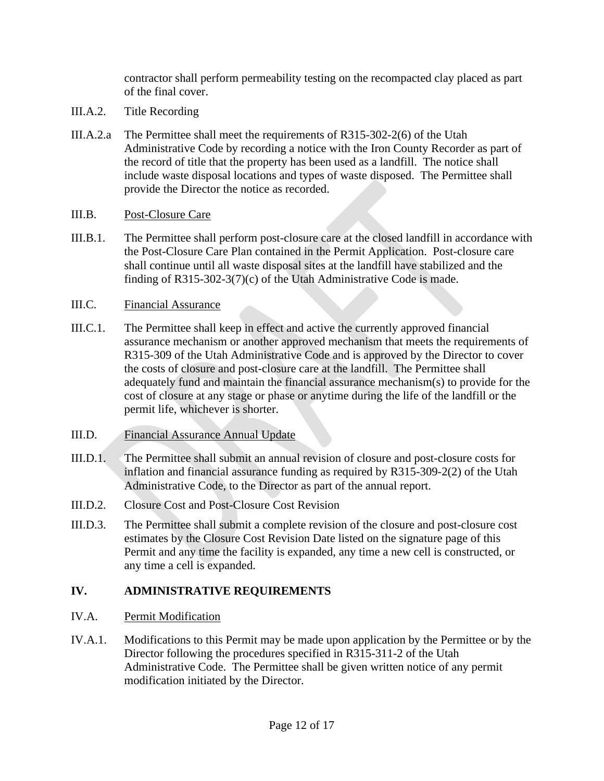contractor shall perform permeability testing on the recompacted clay placed as part of the final cover.

- III.A.2. Title Recording
- III.A.2.a The Permittee shall meet the requirements of R315-302-2(6) of the Utah Administrative Code by recording a notice with the Iron County Recorder as part of the record of title that the property has been used as a landfill. The notice shall include waste disposal locations and types of waste disposed. The Permittee shall provide the Director the notice as recorded.
- III.B. Post-Closure Care
- III.B.1. The Permittee shall perform post-closure care at the closed landfill in accordance with the Post-Closure Care Plan contained in the Permit Application. Post-closure care shall continue until all waste disposal sites at the landfill have stabilized and the finding of R315-302-3(7)(c) of the Utah Administrative Code is made.

#### III.C. Financial Assurance

- III.C.1. The Permittee shall keep in effect and active the currently approved financial assurance mechanism or another approved mechanism that meets the requirements of R315-309 of the Utah Administrative Code and is approved by the Director to cover the costs of closure and post-closure care at the landfill. The Permittee shall adequately fund and maintain the financial assurance mechanism(s) to provide for the cost of closure at any stage or phase or anytime during the life of the landfill or the permit life, whichever is shorter.
- III.D. Financial Assurance Annual Update
- III.D.1. The Permittee shall submit an annual revision of closure and post-closure costs for inflation and financial assurance funding as required by R315-309-2(2) of the Utah Administrative Code, to the Director as part of the annual report.
- III.D.2. Closure Cost and Post-Closure Cost Revision
- III.D.3. The Permittee shall submit a complete revision of the closure and post-closure cost estimates by the Closure Cost Revision Date listed on the signature page of this Permit and any time the facility is expanded, any time a new cell is constructed, or any time a cell is expanded.

## **IV. ADMINISTRATIVE REQUIREMENTS**

## IV.A. Permit Modification

IV.A.1. Modifications to this Permit may be made upon application by the Permittee or by the Director following the procedures specified in R315-311-2 of the Utah Administrative Code. The Permittee shall be given written notice of any permit modification initiated by the Director.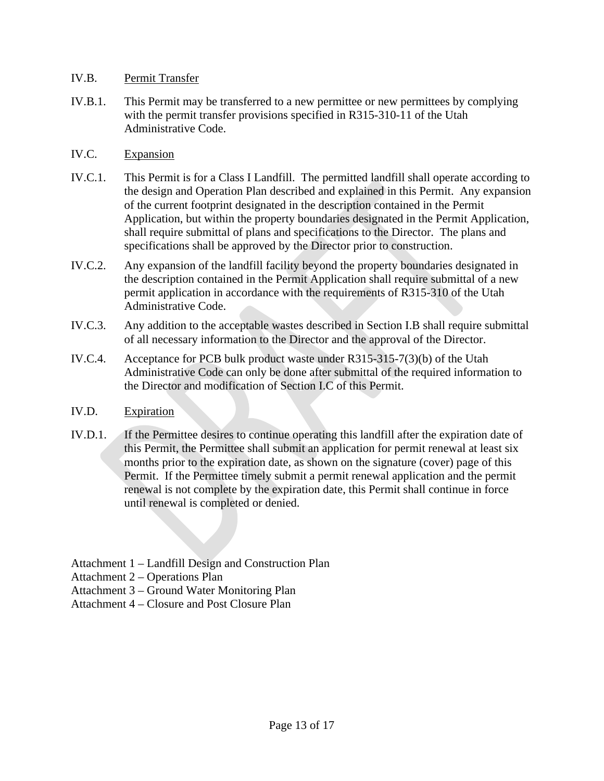#### IV.B. Permit Transfer

- IV.B.1. This Permit may be transferred to a new permittee or new permittees by complying with the permit transfer provisions specified in R315-310-11 of the Utah Administrative Code.
- IV.C. Expansion
- IV.C.1. This Permit is for a Class I Landfill. The permitted landfill shall operate according to the design and Operation Plan described and explained in this Permit. Any expansion of the current footprint designated in the description contained in the Permit Application, but within the property boundaries designated in the Permit Application, shall require submittal of plans and specifications to the Director. The plans and specifications shall be approved by the Director prior to construction.
- IV.C.2. Any expansion of the landfill facility beyond the property boundaries designated in the description contained in the Permit Application shall require submittal of a new permit application in accordance with the requirements of R315-310 of the Utah Administrative Code.
- IV.C.3. Any addition to the acceptable wastes described in Section [I.B](#page-3-1) shall require submittal of all necessary information to the Director and the approval of the Director.
- IV.C.4. Acceptance for PCB bulk product waste under R315-315-7(3)(b) of the Utah Administrative Code can only be done after submittal of the required information to the Director and modification of Section [I.C](#page-4-0) of this Permit.
- IV.D. Expiration
- IV.D.1. If the Permittee desires to continue operating this landfill after the expiration date of this Permit, the Permittee shall submit an application for permit renewal at least six months prior to the expiration date, as shown on the signature (cover) page of this Permit. If the Permittee timely submit a permit renewal application and the permit renewal is not complete by the expiration date, this Permit shall continue in force until renewal is completed or denied.

Attachment 1 – Landfill Design and Construction Plan

Attachment 2 – Operations Plan

Attachment 3 – Ground Water Monitoring Plan

Attachment 4 – Closure and Post Closure Plan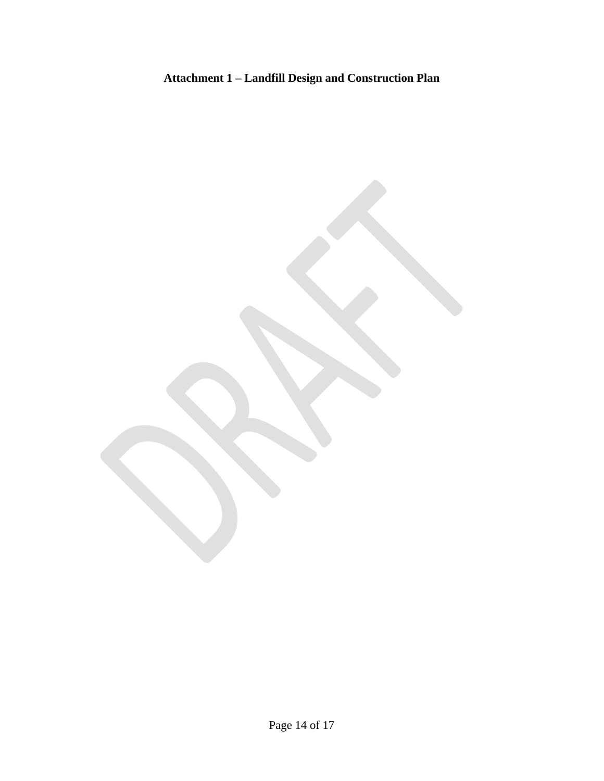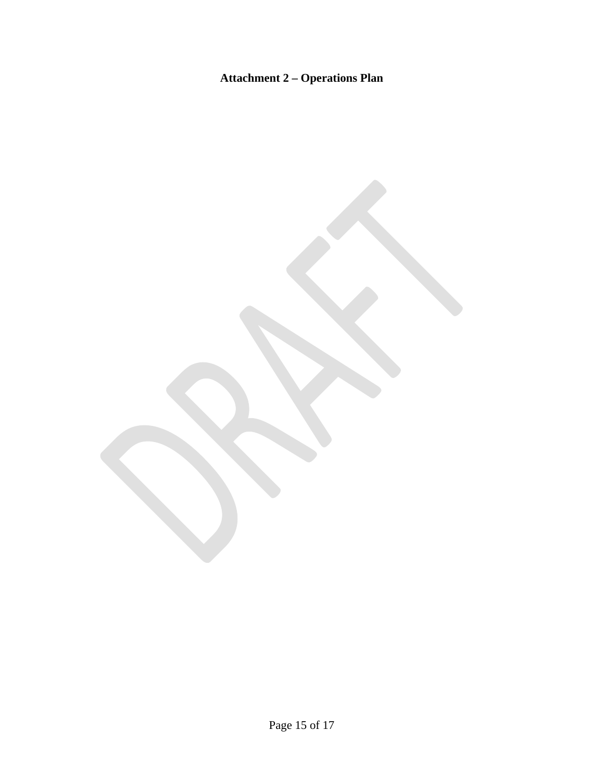# **Attachment 2 – Operations Plan**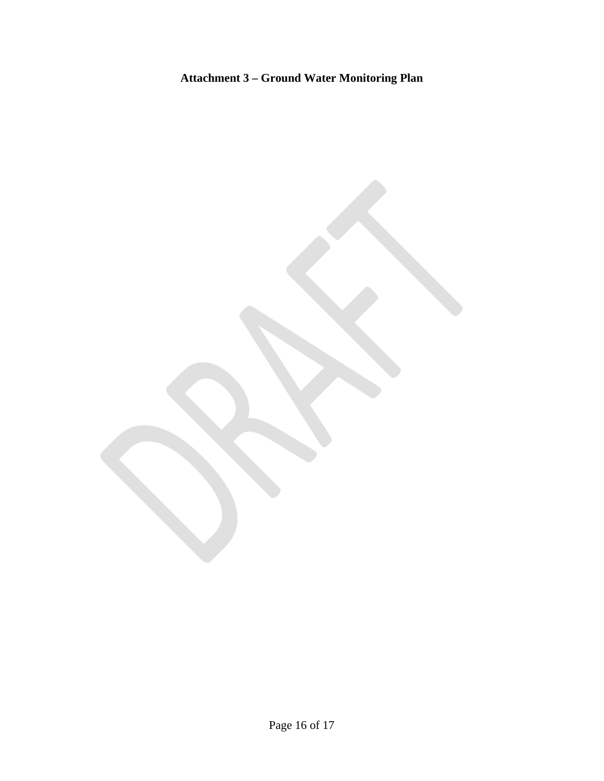# **Attachment 3 – Ground Water Monitoring Plan**